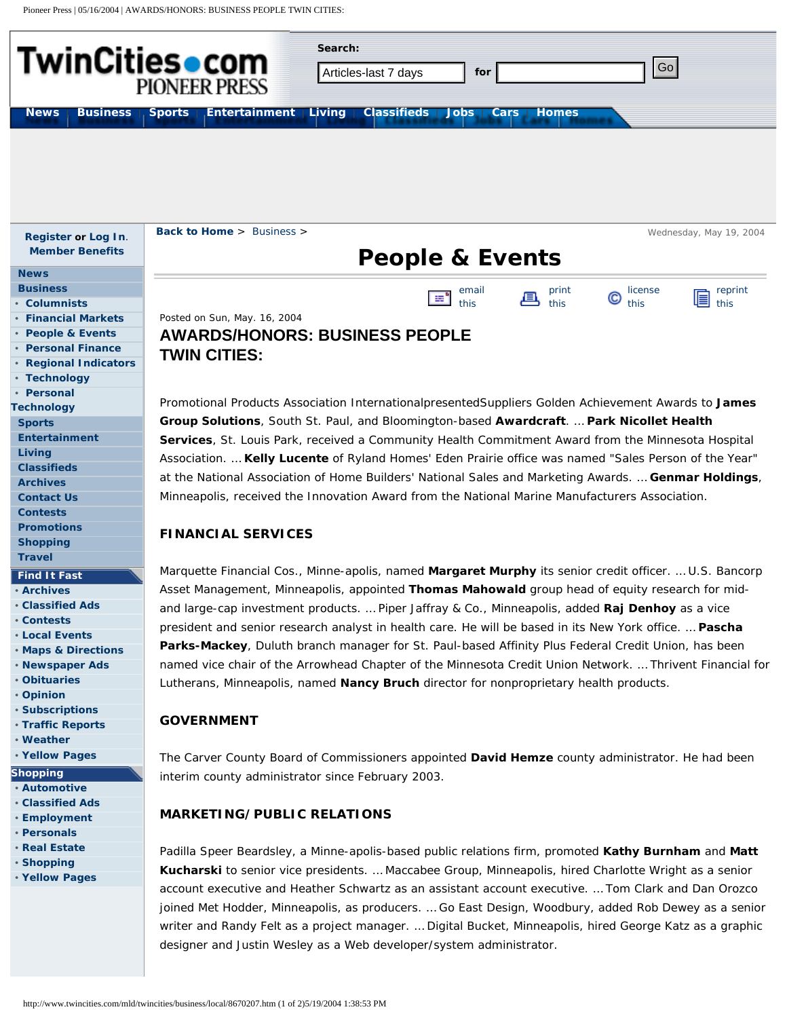Pioneer Press | 05/16/2004 | AWARDS/HONORS: BUSINESS PEOPLE TWIN CITIES: